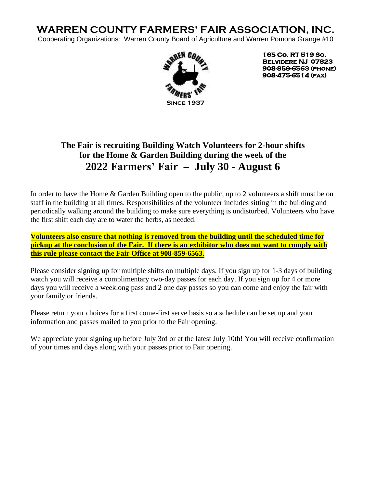# **WARREN COUNTY FARMERS' FAIR ASSOCIATION, INC.**

Cooperating Organizations: Warren County Board of Agriculture and Warren Pomona Grange #10 



**165 Co. RT 519 So. Belvidere NJ 07823 908-859-6563 (phone) 908-475-6514 (fax)** 

## **The Fair is recruiting Building Watch Volunteers for 2-hour shifts for the Home & Garden Building during the week of the 2022 Farmers' Fair – July 30 - August 6**

In order to have the Home & Garden Building open to the public, up to 2 volunteers a shift must be on staff in the building at all times. Responsibilities of the volunteer includes sitting in the building and periodically walking around the building to make sure everything is undisturbed. Volunteers who have the first shift each day are to water the herbs, as needed.

**Volunteers also ensure that nothing is removed from the building until the scheduled time for pickup at the conclusion of the Fair. If there is an exhibitor who does not want to comply with this rule please contact the Fair Office at 908-859-6563.**

Please consider signing up for multiple shifts on multiple days. If you sign up for 1-3 days of building watch you will receive a complimentary two-day passes for each day. If you sign up for 4 or more days you will receive a weeklong pass and 2 one day passes so you can come and enjoy the fair with your family or friends.

Please return your choices for a first come-first serve basis so a schedule can be set up and your information and passes mailed to you prior to the Fair opening.

We appreciate your signing up before July 3rd or at the latest July 10th! You will receive confirmation of your times and days along with your passes prior to Fair opening.